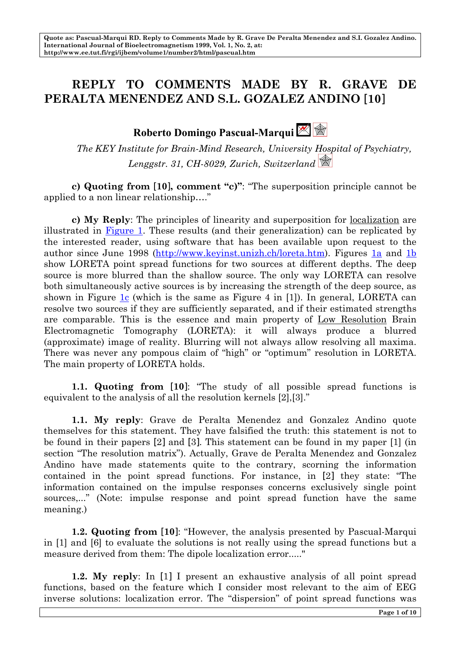### **REPLY TO COMMENTS MADE BY R. GRAVE DE PERALTA MENENDEZ AND S.L. GOZALEZ ANDINO [10]**

## **Roberto Domingo Pascual-Marqui**

*The KEY Institute for Brain-Mind Research, University Hospital of Psychiatry, Lenggstr. 31, CH-8029, Zurich, Switzerland*

**c) Quoting from [10], comment "c)"**: "The superposition principle cannot be applied to a non linear relationship…."

**c) My Reply**: The principles of linearity and superposition for localization are illustrated in Figure 1. These results (and their generalization) can be replicated by the interested reader, using software that has been available upon request to the author since June 1998 (http://www.keyinst.unizh.ch/loreta.htm). Figures 1a and 1b show LORETA point spread functions for two sources at different depths. The deep source is more blurred than the shallow source. The only way LORETA can resolve both simultaneously active sources is by increasing the strength of the deep source, as shown in Figure 1c (which is the same as Figure 4 in [1]). In general, LORETA can resolve two sources if they are sufficiently separated, and if their estimated strengths are comparable. This is the essence and main property of Low Resolution Brain Electromagnetic Tomography (LORETA): it will always produce a blurred (approximate) image of reality. Blurring will not always allow resolving all maxima. There was never any pompous claim of "high" or "optimum" resolution in LORETA. The main property of LORETA holds.

**1.1. Quoting from [10]**: "The study of all possible spread functions is equivalent to the analysis of all the resolution kernels [2],[3]."

**1.1. My reply**: Grave de Peralta Menendez and Gonzalez Andino quote themselves for this statement. They have falsified the truth: this statement is not to be found in their papers [2] and [3]. This statement can be found in my paper [1] (in section "The resolution matrix"). Actually, Grave de Peralta Menendez and Gonzalez Andino have made statements quite to the contrary, scorning the information contained in the point spread functions. For instance, in [2] they state: "The information contained on the impulse responses concerns exclusively single point sources,..." (Note: impulse response and point spread function have the same meaning.)

**1.2. Quoting from [10]**: "However, the analysis presented by Pascual-Marqui in [1] and [6] to evaluate the solutions is not really using the spread functions but a measure derived from them: The dipole localization error....."

**1.2. My reply**: In [1] I present an exhaustive analysis of all point spread functions, based on the feature which I consider most relevant to the aim of EEG inverse solutions: localization error. The "dispersion" of point spread functions was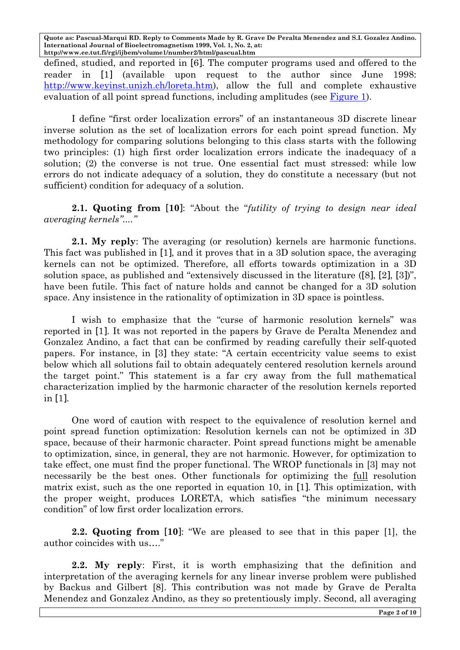defined, studied, and reported in [6]. The computer programs used and offered to the reader in [1] (available upon request to the author since June 1998: http://www.keyinst.unizh.ch/loreta.htm), allow the full and complete exhaustive evaluation of all point spread functions, including amplitudes (see Figure 1).

I define "first order localization errors" of an instantaneous 3D discrete linear inverse solution as the set of localization errors for each point spread function. My methodology for comparing solutions belonging to this class starts with the following two principles: (1) high first order localization errors indicate the inadequacy of a solution; (2) the converse is not true. One essential fact must stressed: while low errors do not indicate adequacy of a solution, they do constitute a necessary (but not sufficient) condition for adequacy of a solution.

**2.1. Quoting from [10]**: "About the "*futility of trying to design near ideal averaging kernels"...."*

**2.1. My reply**: The averaging (or resolution) kernels are harmonic functions. This fact was published in [1], and it proves that in a 3D solution space, the averaging kernels can not be optimized. Therefore, all efforts towards optimization in a 3D solution space, as published and "extensively discussed in the literature ([8], [2], [3])", have been futile. This fact of nature holds and cannot be changed for a 3D solution space. Any insistence in the rationality of optimization in 3D space is pointless.

I wish to emphasize that the "curse of harmonic resolution kernels" was reported in [1]. It was not reported in the papers by Grave de Peralta Menendez and Gonzalez Andino, a fact that can be confirmed by reading carefully their self-quoted papers. For instance, in [3] they state: "A certain eccentricity value seems to exist below which all solutions fail to obtain adequately centered resolution kernels around the target point." This statement is a far cry away from the full mathematical characterization implied by the harmonic character of the resolution kernels reported in [1].

One word of caution with respect to the equivalence of resolution kernel and point spread function optimization: Resolution kernels can not be optimized in 3D space, because of their harmonic character. Point spread functions might be amenable to optimization, since, in general, they are not harmonic. However, for optimization to take effect, one must find the proper functional. The WROP functionals in [3] may not necessarily be the best ones. Other functionals for optimizing the <u>full</u> resolution matrix exist, such as the one reported in equation 10, in [1]. This optimization, with the proper weight, produces LORETA, which satisfies "the minimum necessary condition" of low first order localization errors.

**2.2. Quoting from [10]**: "We are pleased to see that in this paper [1], the author coincides with us…."

**2.2. My reply**: First, it is worth emphasizing that the definition and interpretation of the averaging kernels for any linear inverse problem were published by Backus and Gilbert [8]. This contribution was not made by Grave de Peralta Menendez and Gonzalez Andino, as they so pretentiously imply. Second, all averaging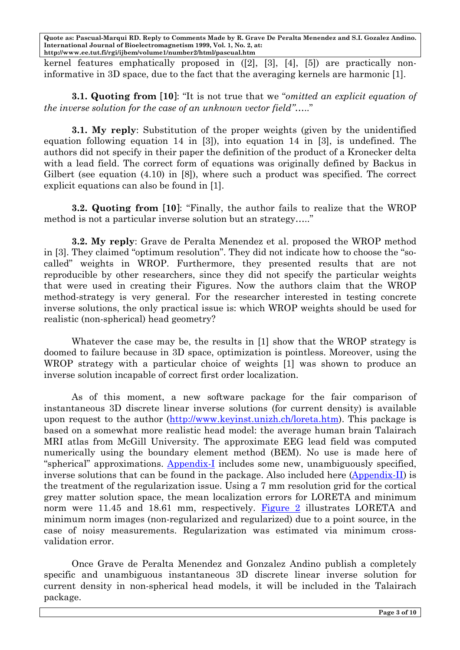kernel features emphatically proposed in ([2], [3], [4], [5]) are practically noninformative in 3D space, due to the fact that the averaging kernels are harmonic [1].

**3.1. Quoting from [10]**: "It is not true that we "*omitted an explicit equation of the inverse solution for the case of an unknown vector field"*….."

**3.1. My reply**: Substitution of the proper weights (given by the unidentified equation following equation 14 in [3]), into equation 14 in [3], is undefined. The authors did not specify in their paper the definition of the product of a Kronecker delta with a lead field. The correct form of equations was originally defined by Backus in Gilbert (see equation (4.10) in [8]), where such a product was specified. The correct explicit equations can also be found in [1].

**3.2. Quoting from [10]**: "Finally, the author fails to realize that the WROP method is not a particular inverse solution but an strategy….."

**3.2. My reply**: Grave de Peralta Menendez et al. proposed the WROP method in [3]. They claimed "optimum resolution". They did not indicate how to choose the "socalled" weights in WROP. Furthermore, they presented results that are not reproducible by other researchers, since they did not specify the particular weights that were used in creating their Figures. Now the authors claim that the WROP method-strategy is very general. For the researcher interested in testing concrete inverse solutions, the only practical issue is: which WROP weights should be used for realistic (non-spherical) head geometry?

Whatever the case may be, the results in [1] show that the WROP strategy is doomed to failure because in 3D space, optimization is pointless. Moreover, using the WROP strategy with a particular choice of weights [1] was shown to produce an inverse solution incapable of correct first order localization.

As of this moment, a new software package for the fair comparison of instantaneous 3D discrete linear inverse solutions (for current density) is available upon request to the author (http://www.keyinst.unizh.ch/loreta.htm). This package is based on a somewhat more realistic head model: the average human brain Talairach MRI atlas from McGill University. The approximate EEG lead field was computed numerically using the boundary element method (BEM). No use is made here of "spherical" approximations. Appendix-I includes some new, unambiguously specified, inverse solutions that can be found in the package. Also included here (Appendix-II) is the treatment of the regularization issue. Using a 7 mm resolution grid for the cortical grey matter solution space, the mean localization errors for LORETA and minimum norm were 11.45 and 18.61 mm, respectively. Figure 2 illustrates LORETA and minimum norm images (non-regularized and regularized) due to a point source, in the case of noisy measurements. Regularization was estimated via minimum crossvalidation error.

Once Grave de Peralta Menendez and Gonzalez Andino publish a completely specific and unambiguous instantaneous 3D discrete linear inverse solution for current density in non-spherical head models, it will be included in the Talairach package.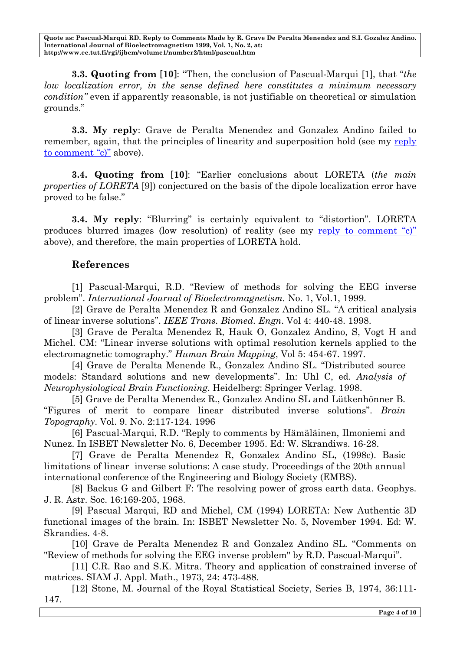**3.3. Quoting from [10]**: "Then, the conclusion of Pascual-Marqui [1], that "*the low localization error, in the sense defined here constitutes a minimum necessary condition"* even if apparently reasonable, is not justifiable on theoretical or simulation grounds."

**3.3. My reply**: Grave de Peralta Menendez and Gonzalez Andino failed to remember, again, that the principles of linearity and superposition hold (see my reply to comment "c)" above).

**3.4. Quoting from [10]**: "Earlier conclusions about LORETA (*the main properties of LORETA* [9]) conjectured on the basis of the dipole localization error have proved to be false."

**3.4. My reply**: "Blurring" is certainly equivalent to "distortion". LORETA produces blurred images (low resolution) of reality (see my reply to comment "c)" above), and therefore, the main properties of LORETA hold.

#### **References**

[1] Pascual-Marqui, R.D. "Review of methods for solving the EEG inverse problem". *International Journal of Bioelectromagnetism.* No. 1, Vol.1, 1999.

[2] Grave de Peralta Menendez R and Gonzalez Andino SL. "A critical analysis of linear inverse solutions". *IEEE Trans. Biomed. Engn*. Vol 4: 440-48. 1998.

[3] Grave de Peralta Menendez R, Hauk O, Gonzalez Andino, S, Vogt H and Michel. CM: "Linear inverse solutions with optimal resolution kernels applied to the electromagnetic tomography." *Human Brain Mapping*, Vol 5: 454-67. 1997.

[4] Grave de Peralta Menende R., Gonzalez Andino SL. "Distributed source models: Standard solutions and new developments". In: Uhl C, ed. *Analysis of Neurophysiological Brain Functioning*. Heidelberg: Springer Verlag. 1998.

[5] Grave de Peralta Menendez R., Gonzalez Andino SL and Lütkenhönner B. "Figures of merit to compare linear distributed inverse solutions". *Brain Topography*. Vol. 9. No. 2:117-124. 1996

[6] Pascual-Marqui, R.D. "Reply to comments by Hämäläinen, Ilmoniemi and Nunez. In ISBET Newsletter No. 6, December 1995. Ed: W. Skrandiws. 16-28.

[7] Grave de Peralta Menendez R, Gonzalez Andino SL, (1998c). Basic limitations of linear inverse solutions: A case study. Proceedings of the 20th annual international conference of the Engineering and Biology Society (EMBS).

[8] Backus G and Gilbert F: The resolving power of gross earth data. Geophys. J. R. Astr. Soc. 16:169-205, 1968.

[9] Pascual Marqui, RD and Michel, CM (1994) LORETA: New Authentic 3D functional images of the brain. In: ISBET Newsletter No. 5, November 1994. Ed: W. Skrandies. 4-8.

[10] Grave de Peralta Menendez R and Gonzalez Andino SL. "Comments on "Review of methods for solving the EEG inverse problem" by R.D. Pascual-Marqui".

[11] C.R. Rao and S.K. Mitra. Theory and application of constrained inverse of matrices. SIAM J. Appl. Math., 1973, 24: 473-488.

[12] Stone, M. Journal of the Royal Statistical Society, Series B, 1974, 36:111- 147.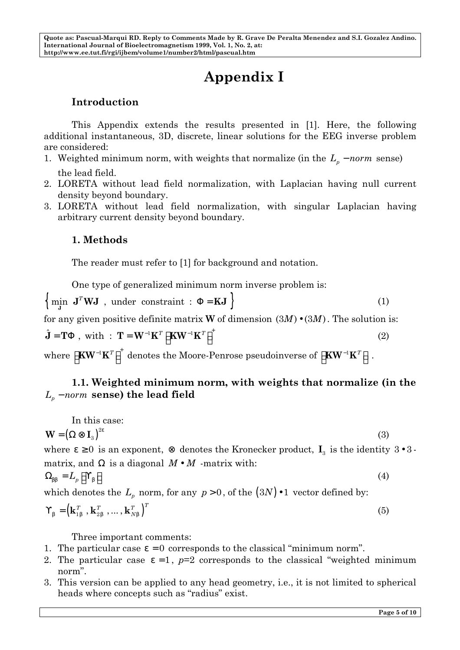# **Appendix I**

#### **Introduction**

This Appendix extends the results presented in [1]. Here, the following additional instantaneous, 3D, discrete, linear solutions for the EEG inverse problem are considered:

1. Weighted minimum norm, with weights that normalize (in the  $L_p$  – *norm* sense) the lead field.

- 2. LORETA without lead field normalization, with Laplacian having null current density beyond boundary.
- 3. LORETA without lead field normalization, with singular Laplacian having arbitrary current density beyond boundary.

#### **1. Methods**

The reader must refer to [1] for background and notation.

One type of generalized minimum norm inverse problem is:

 $\left\{\begin{array}{c}\n\text{min} \quad \mathbf{J}^T \mathbf{W} \mathbf{J} \quad \text{, under constraint} : \mathbf{F} = \mathbf{K} \mathbf{J}\n\end{array}\right\}$ (1)

for any given positive definite matrix **W** of dimension  $(3M) \bullet (3M)$ . The solution is:

$$
\hat{\mathbf{J}} = \mathbf{T} \mathbf{F} \text{ , with : } \mathbf{T} = \mathbf{W}^{-1} \mathbf{K}^T \left[ \mathbf{K} \mathbf{W}^{-1} \mathbf{K}^T \right]^+ \tag{2}
$$

 $\mathbf{w} = \left[ \mathbf{K} \mathbf{W}^{-1} \mathbf{K}^T \right]^+$  denotes the Moore-Penrose pseudoinverse of  $\left[ \mathbf{K} \mathbf{W}^{-1} \mathbf{K}^T \right]$  .

#### **1.1. Weighted minimum norm, with weights that normalize (in the**   $L_p$  − *norm* **sense) the lead field**

In this case:  
\n
$$
\mathbf{W} = (\mathbf{W} \otimes \mathbf{I}_3)^{2e}
$$
\n(3)

where  $e \ge 0$  is an exponent,  $\otimes$  denotes the Kronecker product,  $I_3$  is the identity 3•3matrix, and **W** is a diagonal  $M \cdot M$  -matrix with:  $\Omega_{bb} = L_p \left[ \begin{array}{c} \mathbf{i} \\ \mathbf{j} \end{array} \right]$ **¡** (4)

which denotes the 
$$
L_p
$$
 norm, for any  $p > 0$ , of the  $(3N) \cdot 1$  vector defined by:

$$
\begin{aligned} \boldsymbol{\mathop{\downarrow}\,}_b = \left( \mathbf{k}_{1b}^T \text{ , } \mathbf{k}_{2b}^T \text{ , } \ldots \text{ , } \mathbf{k}_{Nb}^T \right)^T \end{aligned}
$$

Three important comments:

- 1. The particular case  $e = 0$  corresponds to the classical "minimum norm".
- 2. The particular case  $e = 1$ ,  $p=2$  corresponds to the classical "weighted minimum norm".
- 3. This version can be applied to any head geometry, i.e., it is not limited to spherical heads where concepts such as "radius" exist.

(5)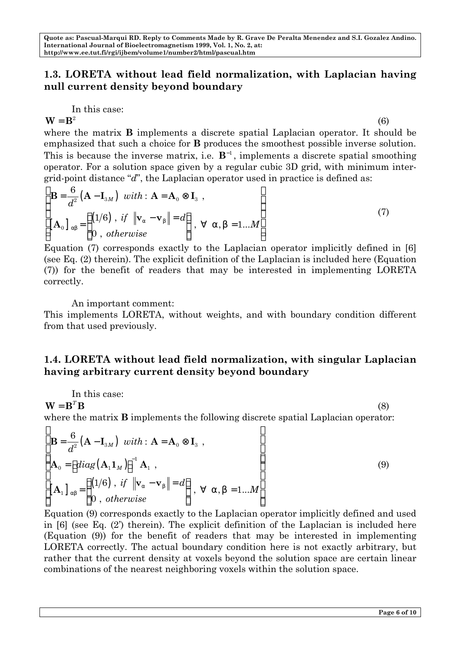#### **1.3. LORETA without lead field normalization, with Laplacian having null current density beyond boundary**

In this case:

 $W = B<sup>2</sup>$  (6) where the matrix **B** implements a discrete spatial Laplacian operator. It should be emphasized that such a choice for **B** produces the smoothest possible inverse solution. This is because the inverse matrix, i.e.  $\mathbf{B}^{-1}$ , implements a discrete spatial smoothing operator. For a solution space given by a regular cubic 3D grid, with minimum intergrid-point distance "*d*", the Laplacian operator used in practice is defined as:

$$
\begin{cases}\n\mathbf{B} = \frac{6}{d^2} (\mathbf{A} - \mathbf{I}_{3M}) \quad with : \mathbf{A} = \mathbf{A}_0 \otimes \mathbf{I}_3 ,\\
\begin{bmatrix}\n\mathbf{A}_0\n\end{bmatrix}_{ab} = \begin{cases}\n(1/6) , if \|\mathbf{v}_a - \mathbf{v}_b\| = d \\
0 , otherwise\n\end{cases}, \forall \mathbf{a}, \mathbf{b} = 1...M\n\end{cases}
$$
\n(7)

Equation (7) corresponds exactly to the Laplacian operator implicitly defined in [6] (see Eq. (2) therein). The explicit definition of the Laplacian is included here (Equation (7)) for the benefit of readers that may be interested in implementing LORETA correctly.

An important comment:

This implements LORETA, without weights, and with boundary condition different from that used previously.

#### **1.4. LORETA without lead field normalization, with singular Laplacian having arbitrary current density beyond boundary**

In this case: 
$$
\overline{a}
$$

 $\mathbf{W} = \mathbf{B}^T \mathbf{B}$  (8)

where the matrix **B** implements the following discrete spatial Laplacian operator:

$$
\begin{cases}\n\mathbf{B} = \frac{6}{d^2} (\mathbf{A} - \mathbf{I}_{3M}) \quad \text{with} : \mathbf{A} = \mathbf{A}_0 \otimes \mathbf{I}_3 ,\\
\mathbf{A}_0 = \left[ \text{diag} (\mathbf{A}_1 \mathbf{1}_M) \right]^{-1} \mathbf{A}_1 ,\\
\mathbf{A}_1 \Big|_{ab} = \begin{cases}\n(1/6) \quad \text{if } \|\mathbf{v}_a - \mathbf{v}_b\| = d\\
0 \quad \text{otherwise}\n\end{cases}, \forall \mathbf{a}, \mathbf{b} = 1...M\n\end{cases}
$$
\n(9)

Equation (9) corresponds exactly to the Laplacian operator implicitly defined and used in [6] (see Eq. (2') therein). The explicit definition of the Laplacian is included here (Equation (9)) for the benefit of readers that may be interested in implementing LORETA correctly. The actual boundary condition here is not exactly arbitrary, but rather that the current density at voxels beyond the solution space are certain linear combinations of the nearest neighboring voxels within the solution space.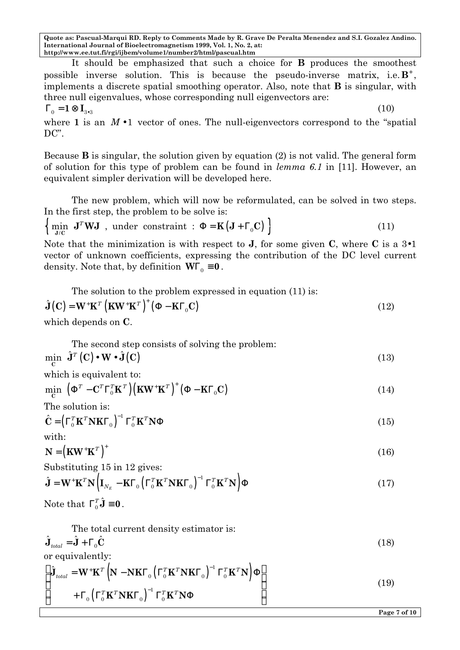It should be emphasized that such a choice for **B** produces the smoothest possible inverse solution. This is because the pseudo-inverse matrix, i.e.  $\mathbf{B}^+$ , implements a discrete spatial smoothing operator. Also, note that **B** is singular, with three null eigenvalues, whose corresponding null eigenvectors are:

$$
\boldsymbol{G}_{\!\scriptscriptstyle 0} = \mathbf{1} \otimes \mathbf{I}_{\scriptscriptstyle 3\bullet 3}
$$

where 1 is an  $M \cdot 1$  vector of ones. The null-eigenvectors correspond to the "spatial" DC".

Because **B** is singular, the solution given by equation (2) is not valid. The general form of solution for this type of problem can be found in *lemma 6.1* in [11]. However, an equivalent simpler derivation will be developed here.

The new problem, which will now be reformulated, can be solved in two steps. In the first step, the problem to be solve is:

$$
\left\{ \min_{\mathbf{J}/\mathbf{C}} \mathbf{J}^T \mathbf{W} \mathbf{J} \text{ , under constraint : } \mathbf{F} = \mathbf{K} \left( \mathbf{J} + \mathbf{G}_0 \mathbf{C} \right) \right\}
$$
 (11)

Note that the minimization is with respect to **J**, for some given **C**, where **C** is a 3•1 vector of unknown coefficients, expressing the contribution of the DC level current density. Note that, by definition  $\mathbf{W}\mathbf{G}_0 \equiv \mathbf{0}$ .

The solution to the problem expressed in equation (11) is:

$$
\hat{\mathbf{J}}(\mathbf{C}) = \mathbf{W}^+ \mathbf{K}^T \left( \mathbf{K} \mathbf{W}^+ \mathbf{K}^T \right)^+ \left( \mathbf{F} - \mathbf{K} \mathbf{G}_0 \mathbf{C} \right)
$$
\nwhich depends on  $\mathbf{C}$ 

\n(12)

which depends on **C**.

The second step consists of solving the problem:  
\n
$$
\min_{\mathbf{C}} \hat{\mathbf{J}}^{T}(\mathbf{C}) \cdot \mathbf{W} \cdot \hat{\mathbf{J}}(\mathbf{C})
$$
\n(13)

which is equivalent to:

$$
\min_{\mathbf{C}} \left( \mathbf{F}^T - \mathbf{C}^T \mathbf{G}_0^T \mathbf{K}^T \right) \left( \mathbf{K} \mathbf{W}^+ \mathbf{K}^T \right)^+ \left( \mathbf{F} - \mathbf{K} \mathbf{G}_0 \mathbf{C} \right)
$$
\n(14)

The solution is:

$$
\hat{\mathbf{C}} = \left(\mathbf{G}_0^T \mathbf{K}^T \mathbf{N} \mathbf{K} \mathbf{G}_0\right)^{-1} \mathbf{G}_0^T \mathbf{K}^T \mathbf{N} \mathbf{F}
$$
\n(15)

with:

 $N = (K W^+ K^T)^+$  (16)

Substituting 15 in 12 gives:

$$
\hat{\mathbf{J}} = \mathbf{W}^+ \mathbf{K}^T \mathbf{N} \Big( \mathbf{I}_{N_E} - \mathbf{K} \mathbf{G}_0 \Big( \mathbf{G}_0^T \mathbf{K}^T \mathbf{N} \mathbf{K} \mathbf{G}_0 \Big)^{-1} \mathbf{G}_0^T \mathbf{K}^T \mathbf{N} \Big) \mathbf{F}
$$
\n(17)

Note that  $\mathbf{G}_0^T \hat{\mathbf{J}} \equiv \mathbf{0}$ .

The total current density estimator is:  
\n
$$
\hat{\mathbf{J}}_{total} = \hat{\mathbf{J}} + \mathbf{G}_0 \hat{\mathbf{C}}
$$
\nor equivalently: (18)

or equivalently:

$$
\left\{\begin{aligned}\n\hat{\mathbf{J}}_{total} &= \mathbf{W}^+ \mathbf{K}^T \left( \mathbf{N} - \mathbf{N} \mathbf{K} \mathbf{G}_0 \left( \mathbf{G}_0^T \mathbf{K}^T \mathbf{N} \mathbf{K} \mathbf{G}_0 \right)^{-1} \mathbf{G}_0^T \mathbf{K}^T \mathbf{N} \right) \mathbf{F} \\
&\quad + \mathbf{G}_0 \left( \mathbf{G}_0^T \mathbf{K}^T \mathbf{N} \mathbf{K} \mathbf{G}_0 \right)^{-1} \mathbf{G}_0^T \mathbf{K}^T \mathbf{N} \mathbf{F}\n\end{aligned}\n\right\} \tag{19}
$$

(10)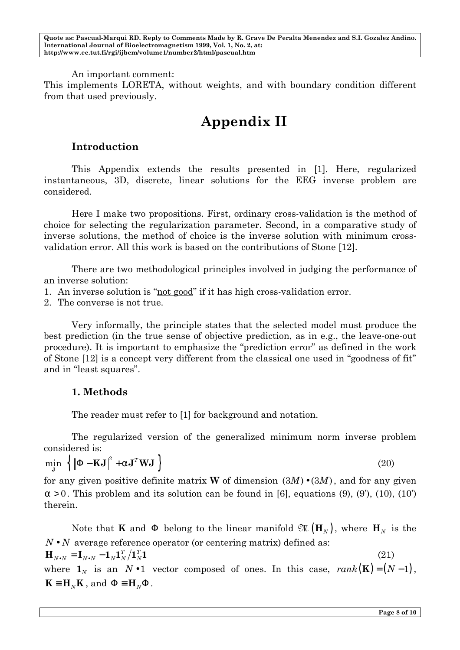An important comment:

This implements LORETA, without weights, and with boundary condition different from that used previously.

## **Appendix II**

#### **Introduction**

This Appendix extends the results presented in [1]. Here, regularized instantaneous, 3D, discrete, linear solutions for the EEG inverse problem are considered.

Here I make two propositions. First, ordinary cross-validation is the method of choice for selecting the regularization parameter. Second, in a comparative study of inverse solutions, the method of choice is the inverse solution with minimum crossvalidation error. All this work is based on the contributions of Stone [12].

There are two methodological principles involved in judging the performance of an inverse solution:

- 1. An inverse solution is "not good" if it has high cross-validation error.
- 2. The converse is not true.

Very informally, the principle states that the selected model must produce the best prediction (in the true sense of objective prediction, as in e.g., the leave-one-out procedure). It is important to emphasize the "prediction error" as defined in the work of Stone [12] is a concept very different from the classical one used in "goodness of fit" and in "least squares".

#### **1. Methods**

The reader must refer to [1] for background and notation.

The regularized version of the generalized minimum norm inverse problem considered is:

 $\min_{\mathbf{J}} \left\{ \left\| \mathbf{F} - \mathbf{K} \mathbf{J} \right\|^2 + \mathbf{a} \mathbf{J}^T \mathbf{W} \mathbf{J} \right\}$  (20)

for any given positive definite matrix **W** of dimension  $(3M) \cdot (3M)$ , and for any given  $a > 0$ . This problem and its solution can be found in [6], equations (9), (9'), (10), (10') therein.

Note that **K** and **F** belong to the linear manifold  $\mathfrak{M}(\mathbf{H}_N)$ , where  $\mathbf{H}_N$  is the  $N \cdot N$  average reference operator (or centering matrix) defined as:  $\mathbf{H}_{N\bullet N} = \mathbf{I}_{N\bullet N} - \mathbf{1}_N \mathbf{1}_N^T / \mathbf{1}_N^T \mathbf{1}$ *N*  $T_{N\bullet N} = \mathbf{I}_{N\bullet N} - \mathbf{1}_N \mathbf{1}_N^T$ (21) where  $\mathbf{1}_N$  is an  $N \cdot 1$  vector composed of ones. In this case,  $rank(\mathbf{K}) = (N-1)$ ,  $\mathbf{K} \equiv \mathbf{H}_N \mathbf{K}$  , and  $\mathbf{F} \equiv \mathbf{H}_N \mathbf{F}$  .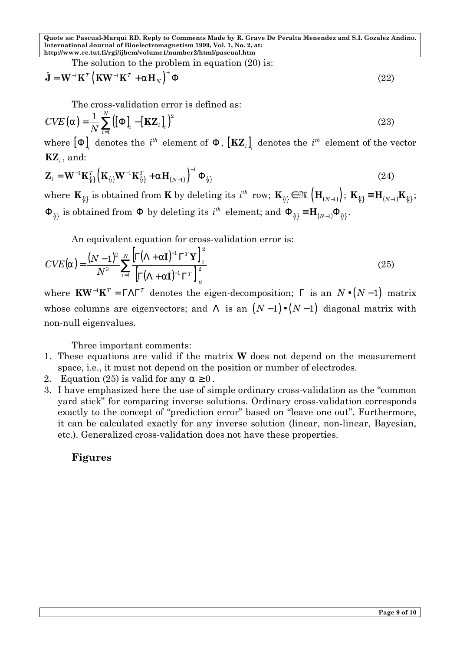The solution to the problem in equation (20) is:

$$
\hat{\mathbf{J}} = \mathbf{W}^{-1} \mathbf{K}^T \left( \mathbf{K} \mathbf{W}^{-1} \mathbf{K}^T + \mathbf{a} \mathbf{H}_N \right)^+ \mathbf{F}
$$
\n(22)

The cross-validation error is defined as:

$$
CVE\left(\mathbf{a}\right) = \frac{1}{N} \sum_{i=1}^{N} \left(\left[\mathbf{F}\right]_{i} - \left[\mathbf{KZ}_{i}\right]_{i}\right)^{2}
$$
\n(23)

where  $\left[\mathbf{F}\right]_i$  denotes the  $i^{th}$  element of  $\mathbf{F}$  ,  $\left[\mathbf{KZ}_i\right]_i$  denotes the  $i^{th}$  element of the vector  $\mathbf{KZ}_i$ , and:

$$
\mathbf{Z}_{i} = \mathbf{W}^{-1} \mathbf{K}_{\{i\}}^{T} \left( \mathbf{K}_{\{i\}} \mathbf{W}^{-1} \mathbf{K}_{\{i\}}^{T} + \mathbf{a} \mathbf{H}_{(N-1)} \right)^{-1} \mathbf{F}_{\{i\}} \tag{24}
$$

where  $\mathbf{K}_{\{i\}}$  is obtained from **K** by deleting its  $i^{th}$  row;  $\mathbf{K}_{\{i\}} \in \mathfrak{M}\left(\mathbf{H}_{(N-1)}\right)$ ;  $\mathbf{K}_{\{i\}} \equiv \mathbf{H}_{(N-1)}\mathbf{K}_{\{i\}}$ ; **F**<sub>{*i*</sub>}</sub> is obtained from **F** by deleting its  $i^{th}$  element; and  $\mathbf{F}_{\{i\}} = \mathbf{H}_{(N-1)}\mathbf{F}_{\{i\}}$ .

An equivalent equation for cross-validation error is:

$$
CVE(\mathbf{a}) = \frac{(N-1)^2}{N^3} \sum_{i=1}^{N} \frac{\left[\mathbf{G}(\mathbf{L} + \mathbf{a}\mathbf{I})^{-1}\mathbf{G}^T\mathbf{Y}\right]_i^2}{\left[\mathbf{G}(\mathbf{L} + \mathbf{a}\mathbf{I})^{-1}\mathbf{G}^T\right]_{ii}^2}
$$
(25)

where  $\mathbf{K}\mathbf{W}^{-1}\mathbf{K}^T = \mathbf{GLG}^T$  denotes the eigen-decomposition; **G** is an  $N \cdot (N-1)$  matrix whose columns are eigenvectors; and **L** is an  $(N-1) \cdot (N-1)$  diagonal matrix with non-null eigenvalues.

Three important comments:

- 1. These equations are valid if the matrix **W** does not depend on the measurement space, i.e., it must not depend on the position or number of electrodes.
- 2. Equation (25) is valid for any  $a \ge 0$ .
- 3. I have emphasized here the use of simple ordinary cross-validation as the "common yard stick" for comparing inverse solutions. Ordinary cross-validation corresponds exactly to the concept of "prediction error" based on "leave one out". Furthermore, it can be calculated exactly for any inverse solution (linear, non-linear, Bayesian, etc.). Generalized cross-validation does not have these properties.

#### **Figures**